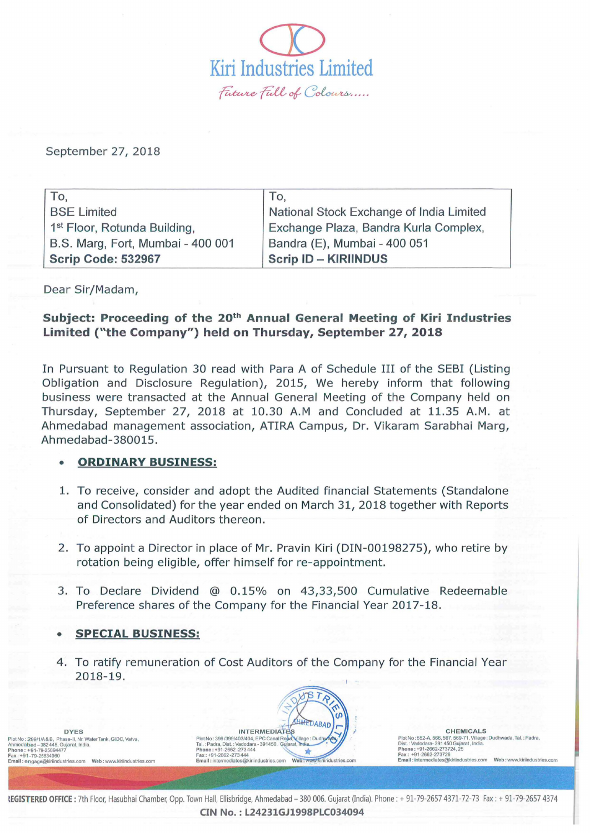

September 27, 2018

| To.                                      | To.                                      |
|------------------------------------------|------------------------------------------|
| <b>BSE Limited</b>                       | National Stock Exchange of India Limited |
| 1 <sup>st</sup> Floor, Rotunda Building, | Exchange Plaza, Bandra Kurla Complex,    |
| B.S. Marg, Fort, Mumbai - 400 001        | Bandra (E), Mumbai - 400 051             |
| <b>Scrip Code: 532967</b>                | <b>Scrip ID - KIRIINDUS</b>              |

Dear Sir/Madam,

## Subject: Proceeding of the 20<sup>th</sup> Annual General Meeting of Kiri Industries Limited ("the Company") held on Thursday, September 27, 2018

In Pursuant to Regulation 30 read with Para A of Schedule III of the SEBI (Listing Obligation and Disclosure Regulation), 2015, We hereby inform that following business were transacted at the Annual General Meeting of the Company held on Thursday, September 27, 2018 at 10.30 A.M and Concluded at 11.35 A.M. at Ahmedabad management association, ATIRA Campus, Dr. Vikaram Sarabhai Marg, Ahmedabad-380015.

## • ORDINARY BUSINESS:

- 1. To receive, consider and adopt the Audited financial Statements (Standalone and Consolidated) for the year ended on March 31, 2018 together with Reports of Directors and Auditors thereon.
- 2. To appoint a Director in place of Mr. Pravin Kiri (DIN-00198275), who retire by rotation being eligible, offer himself for re-appointment.
- 3. To Declare Dividend @ 0.15% on 43,33,500 Cumulative Redeemable Preference shares of the Company for the Financial Year 2017-18.

## • SPECIAL BUSINESS:

4. To ratify remuneration of Cost Auditors of the Company for the Financial Year 2018-19.

IR

DYES PlotNo : 299/1/A&B, Phase-II, Nr. Water Tank, GIDC, Vatva,<br>Ahmedabad - 382445, Gujarat, India.<br>Phone : +91-79-25854477<br>Fax: +91-79-25834460<br>Email : engage@kiriindustries.com Web : www.kiriindustries.com

**INTERMEDIATES** Plot No: 396/399/403/404 FMEDIAL<br>Tal.: Padra, Dist.: Vadodara - 391450. Gujarat, Phone : +91-2662-273444<br>Phone : +91-2662-273444<br>Email : intermediates@kirindustries.com<br>Email : intermediates@kirindustries.com **v** Web iduetries cou

**CHEMICALS** Plot No : 552-A, 566, 567, 569-71, Village : Dudhwada, Tal. : Padra,<br>Dist. : Vadodara- 391 450 Gujarat , India.<br>Phone : +91-2662-273724, 25<br>Fax : +91-2662-273726

REGISTERED OFFICE: 7th Floor, Hasubhai Chamber, Opp. Town Hall, Ellisbridge, Ahmedabad - 380 006. Gujarat (India). Phone: + 91-79-2657 4371-72-73 Fax: + 91-79-2657 4374 CIN No.:L24231GJ1998PLC034094